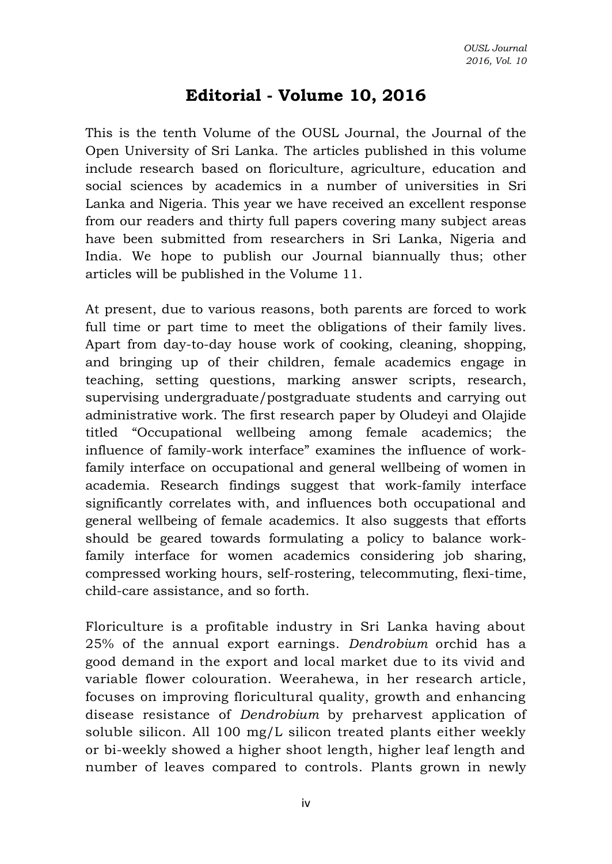## **Editorial - Volume 10, 2016**

This is the tenth Volume of the OUSL Journal, the Journal of the Open University of Sri Lanka. The articles published in this volume include research based on floriculture, agriculture, education and social sciences by academics in a number of universities in Sri Lanka and Nigeria. This year we have received an excellent response from our readers and thirty full papers covering many subject areas have been submitted from researchers in Sri Lanka, Nigeria and India. We hope to publish our Journal biannually thus; other articles will be published in the Volume 11.

At present, due to various reasons, both parents are forced to work full time or part time to meet the obligations of their family lives. Apart from day-to-day house work of cooking, cleaning, shopping, and bringing up of their children, female academics engage in teaching, setting questions, marking answer scripts, research, supervising undergraduate/postgraduate students and carrying out administrative work. The first research paper by Oludeyi and Olajide titled "Occupational wellbeing among female academics; the influence of family-work interface" examines the influence of workfamily interface on occupational and general wellbeing of women in academia. Research findings suggest that work-family interface significantly correlates with, and influences both occupational and general wellbeing of female academics. It also suggests that efforts should be geared towards formulating a policy to balance workfamily interface for women academics considering job sharing, compressed working hours, self-rostering, telecommuting, flexi-time, child-care assistance, and so forth.

Floriculture is a profitable industry in Sri Lanka having about 25% of the annual export earnings. *Dendrobium* orchid has a good demand in the export and local market due to its vivid and variable flower colouration. Weerahewa, in her research article, focuses on improving floricultural quality, growth and enhancing disease resistance of *Dendrobium* by preharvest application of soluble silicon. All 100 mg/L silicon treated plants either weekly or bi-weekly showed a higher shoot length, higher leaf length and number of leaves compared to controls. Plants grown in newly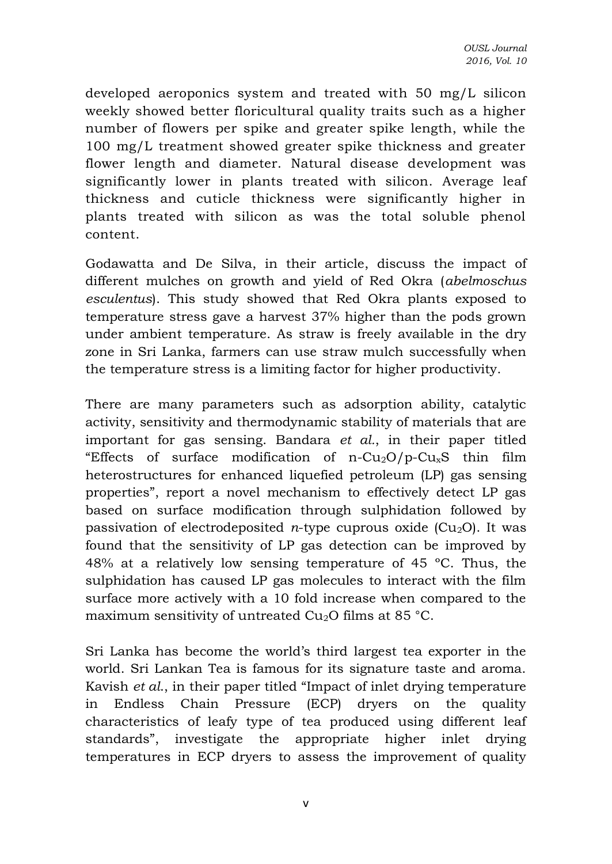developed aeroponics system and treated with 50 mg/L silicon weekly showed better floricultural quality traits such as a higher number of flowers per spike and greater spike length, while the 100 mg/L treatment showed greater spike thickness and greater flower length and diameter. Natural disease development was significantly lower in plants treated with silicon. Average leaf thickness and cuticle thickness were significantly higher in plants treated with silicon as was the total soluble phenol content.

Godawatta and De Silva, in their article, discuss the impact of different mulches on growth and yield of Red Okra (*abelmoschus esculentus*). This study showed that Red Okra plants exposed to temperature stress gave a harvest 37% higher than the pods grown under ambient temperature. As straw is freely available in the dry zone in Sri Lanka, farmers can use straw mulch successfully when the temperature stress is a limiting factor for higher productivity.

There are many parameters such as adsorption ability, catalytic activity, sensitivity and thermodynamic stability of materials that are important for gas sensing. Bandara *et al.*, in their paper titled "Effects of surface modification of n-Cu<sub>2</sub>O/p-Cu<sub>x</sub>S thin film heterostructures for enhanced liquefied petroleum (LP) gas sensing properties", report a novel mechanism to effectively detect LP gas based on surface modification through sulphidation followed by passivation of electrodeposited *n*-type cuprous oxide  $(Cu_2O)$ . It was found that the sensitivity of LP gas detection can be improved by 48% at a relatively low sensing temperature of 45 ºC. Thus, the sulphidation has caused LP gas molecules to interact with the film surface more actively with a 10 fold increase when compared to the maximum sensitivity of untreated  $Cu<sub>2</sub>O$  films at 85 °C.

Sri Lanka has become the world's third largest tea exporter in the world. Sri Lankan Tea is famous for its signature taste and aroma. Kavish *et al*., in their paper titled "Impact of inlet drying temperature in Endless Chain Pressure (ECP) dryers on the quality characteristics of leafy type of tea produced using different leaf standards", investigate the appropriate higher inlet drying temperatures in ECP dryers to assess the improvement of quality